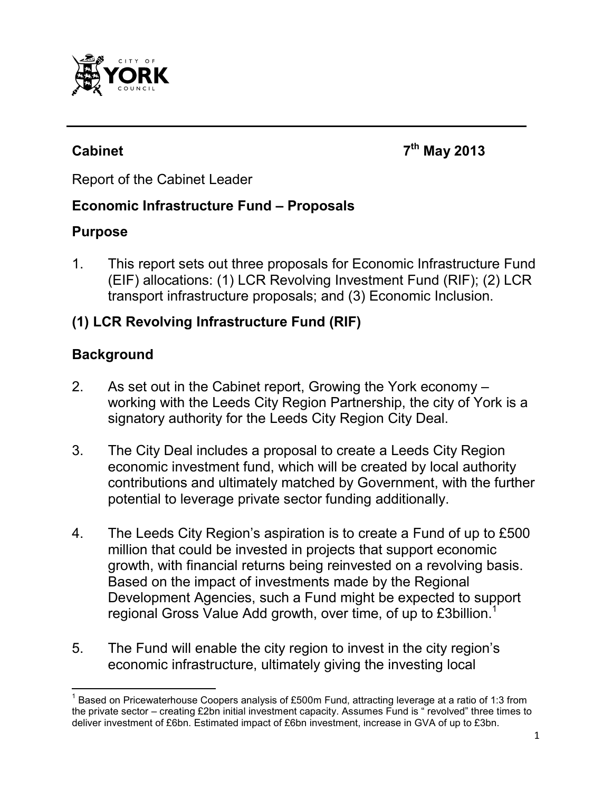

**Cabinet 7th May 2013**

Report of the Cabinet Leader

#### **Economic Infrastructure Fund – Proposals**

#### **Purpose**

1. This report sets out three proposals for Economic Infrastructure Fund (EIF) allocations: (1) LCR Revolving Investment Fund (RIF); (2) LCR transport infrastructure proposals; and (3) Economic Inclusion.

## **(1) LCR Revolving Infrastructure Fund (RIF)**

## **Background**

 $\overline{a}$ 

- 2. As set out in the Cabinet report, Growing the York economy working with the Leeds City Region Partnership, the city of York is a signatory authority for the Leeds City Region City Deal.
- 3. The City Deal includes a proposal to create a Leeds City Region economic investment fund, which will be created by local authority contributions and ultimately matched by Government, with the further potential to leverage private sector funding additionally.
- 4. The Leeds City Region's aspiration is to create a Fund of up to £500 million that could be invested in projects that support economic growth, with financial returns being reinvested on a revolving basis. Based on the impact of investments made by the Regional Development Agencies, such a Fund might be expected to support regional Gross Value Add growth, over time, of up to £3billion.<sup>1</sup>
- 5. The Fund will enable the city region to invest in the city region's economic infrastructure, ultimately giving the investing local

<sup>&</sup>lt;sup>1</sup> Based on Pricewaterhouse Coopers analysis of £500m Fund, attracting leverage at a ratio of 1:3 from the private sector – creating £2bn initial investment capacity. Assumes Fund is " revolved" three times to deliver investment of £6bn. Estimated impact of £6bn investment, increase in GVA of up to £3bn.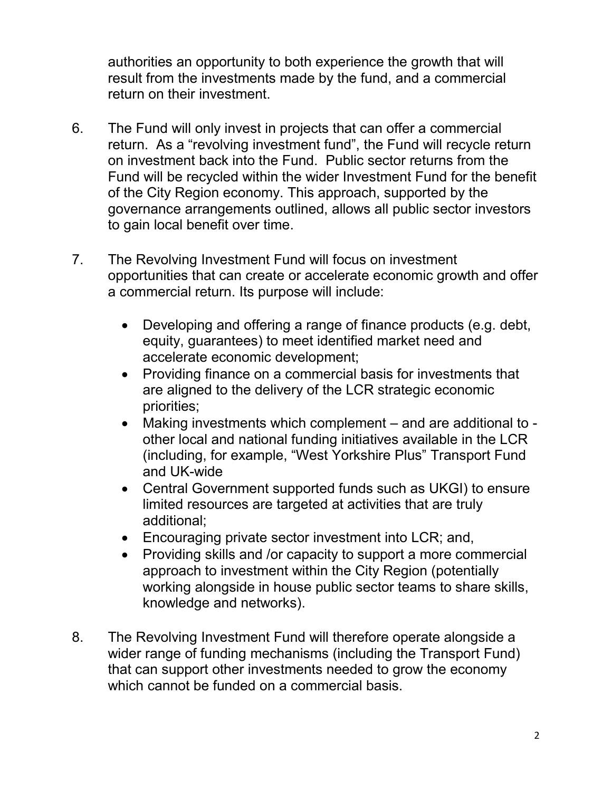authorities an opportunity to both experience the growth that will result from the investments made by the fund, and a commercial return on their investment.

- 6. The Fund will only invest in projects that can offer a commercial return. As a "revolving investment fund", the Fund will recycle return on investment back into the Fund. Public sector returns from the Fund will be recycled within the wider Investment Fund for the benefit of the City Region economy. This approach, supported by the governance arrangements outlined, allows all public sector investors to gain local benefit over time.
- 7. The Revolving Investment Fund will focus on investment opportunities that can create or accelerate economic growth and offer a commercial return. Its purpose will include:
	- Developing and offering a range of finance products (e.g. debt, equity, guarantees) to meet identified market need and accelerate economic development;
	- Providing finance on a commercial basis for investments that are aligned to the delivery of the LCR strategic economic priorities;
	- Making investments which complement and are additional to other local and national funding initiatives available in the LCR (including, for example, "West Yorkshire Plus" Transport Fund and UK-wide
	- Central Government supported funds such as UKGI) to ensure limited resources are targeted at activities that are truly additional;
	- Encouraging private sector investment into LCR; and,
	- Providing skills and /or capacity to support a more commercial approach to investment within the City Region (potentially working alongside in house public sector teams to share skills, knowledge and networks).
- 8. The Revolving Investment Fund will therefore operate alongside a wider range of funding mechanisms (including the Transport Fund) that can support other investments needed to grow the economy which cannot be funded on a commercial basis.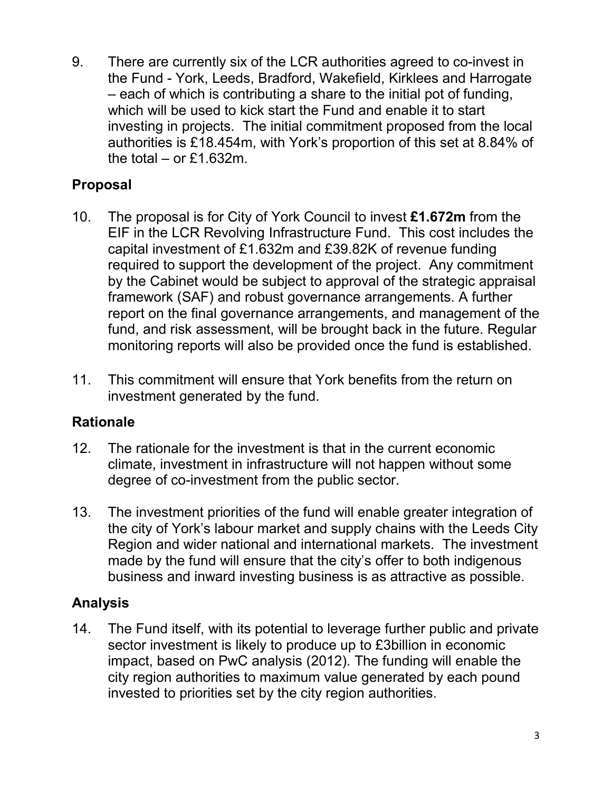9. There are currently six of the LCR authorities agreed to co-invest in the Fund - York, Leeds, Bradford, Wakefield, Kirklees and Harrogate – each of which is contributing a share to the initial pot of funding, which will be used to kick start the Fund and enable it to start investing in projects. The initial commitment proposed from the local authorities is £18.454m, with York's proportion of this set at 8.84% of the total  $-$  or £1.632m.

## **Proposal**

- 10. The proposal is for City of York Council to invest **£1.672m** from the EIF in the LCR Revolving Infrastructure Fund. This cost includes the capital investment of £1.632m and £39.82K of revenue funding required to support the development of the project. Any commitment by the Cabinet would be subject to approval of the strategic appraisal framework (SAF) and robust governance arrangements. A further report on the final governance arrangements, and management of the fund, and risk assessment, will be brought back in the future. Regular monitoring reports will also be provided once the fund is established.
- 11. This commitment will ensure that York benefits from the return on investment generated by the fund.

## **Rationale**

- 12. The rationale for the investment is that in the current economic climate, investment in infrastructure will not happen without some degree of co-investment from the public sector.
- 13. The investment priorities of the fund will enable greater integration of the city of York's labour market and supply chains with the Leeds City Region and wider national and international markets. The investment made by the fund will ensure that the city's offer to both indigenous business and inward investing business is as attractive as possible.

## **Analysis**

14. The Fund itself, with its potential to leverage further public and private sector investment is likely to produce up to £3billion in economic impact, based on PwC analysis (2012). The funding will enable the city region authorities to maximum value generated by each pound invested to priorities set by the city region authorities.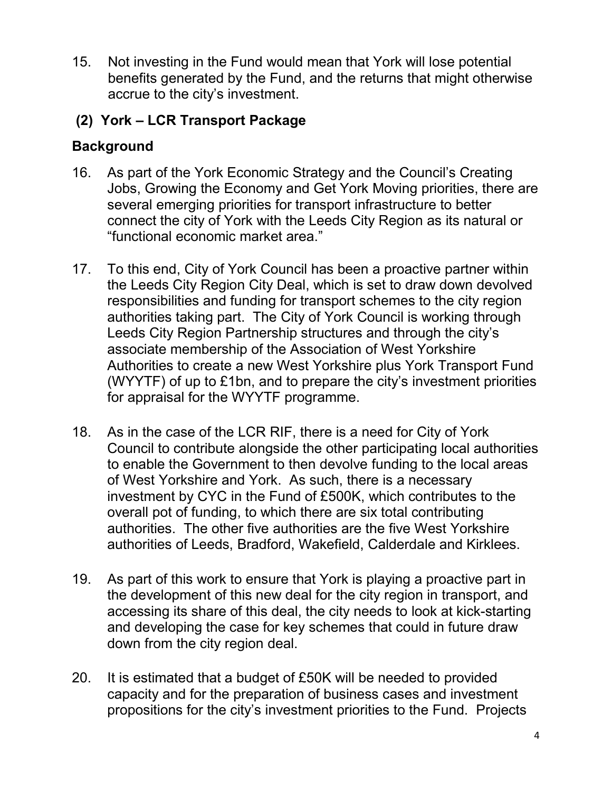15. Not investing in the Fund would mean that York will lose potential benefits generated by the Fund, and the returns that might otherwise accrue to the city's investment.

## **(2) York – LCR Transport Package**

# **Background**

- 16. As part of the York Economic Strategy and the Council's Creating Jobs, Growing the Economy and Get York Moving priorities, there are several emerging priorities for transport infrastructure to better connect the city of York with the Leeds City Region as its natural or "functional economic market area."
- 17. To this end, City of York Council has been a proactive partner within the Leeds City Region City Deal, which is set to draw down devolved responsibilities and funding for transport schemes to the city region authorities taking part. The City of York Council is working through Leeds City Region Partnership structures and through the city's associate membership of the Association of West Yorkshire Authorities to create a new West Yorkshire plus York Transport Fund (WYYTF) of up to £1bn, and to prepare the city's investment priorities for appraisal for the WYYTF programme.
- 18. As in the case of the LCR RIF, there is a need for City of York Council to contribute alongside the other participating local authorities to enable the Government to then devolve funding to the local areas of West Yorkshire and York. As such, there is a necessary investment by CYC in the Fund of £500K, which contributes to the overall pot of funding, to which there are six total contributing authorities. The other five authorities are the five West Yorkshire authorities of Leeds, Bradford, Wakefield, Calderdale and Kirklees.
- 19. As part of this work to ensure that York is playing a proactive part in the development of this new deal for the city region in transport, and accessing its share of this deal, the city needs to look at kick-starting and developing the case for key schemes that could in future draw down from the city region deal.
- 20. It is estimated that a budget of £50K will be needed to provided capacity and for the preparation of business cases and investment propositions for the city's investment priorities to the Fund. Projects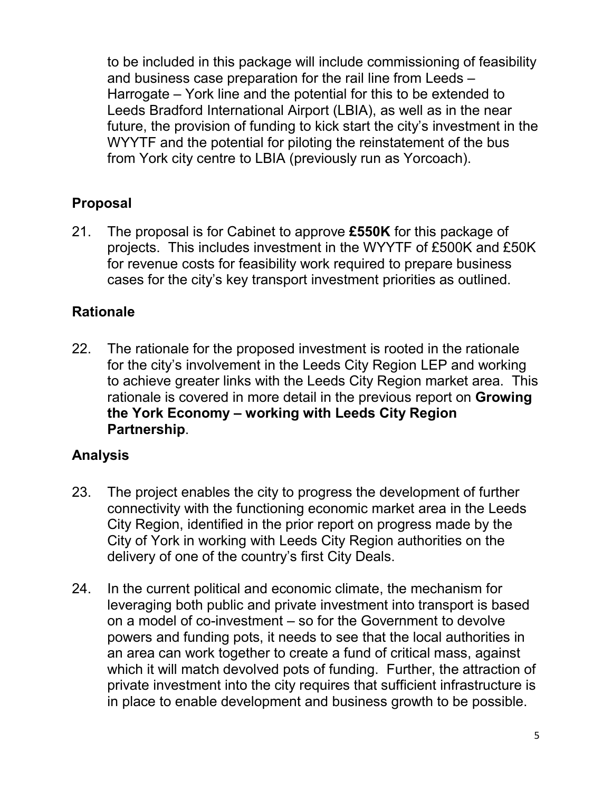to be included in this package will include commissioning of feasibility and business case preparation for the rail line from Leeds – Harrogate – York line and the potential for this to be extended to Leeds Bradford International Airport (LBIA), as well as in the near future, the provision of funding to kick start the city's investment in the WYYTF and the potential for piloting the reinstatement of the bus from York city centre to LBIA (previously run as Yorcoach).

## **Proposal**

21. The proposal is for Cabinet to approve **£550K** for this package of projects. This includes investment in the WYYTF of £500K and £50K for revenue costs for feasibility work required to prepare business cases for the city's key transport investment priorities as outlined.

## **Rationale**

22. The rationale for the proposed investment is rooted in the rationale for the city's involvement in the Leeds City Region LEP and working to achieve greater links with the Leeds City Region market area. This rationale is covered in more detail in the previous report on **Growing the York Economy – working with Leeds City Region Partnership**.

## **Analysis**

- 23. The project enables the city to progress the development of further connectivity with the functioning economic market area in the Leeds City Region, identified in the prior report on progress made by the City of York in working with Leeds City Region authorities on the delivery of one of the country's first City Deals.
- 24. In the current political and economic climate, the mechanism for leveraging both public and private investment into transport is based on a model of co-investment – so for the Government to devolve powers and funding pots, it needs to see that the local authorities in an area can work together to create a fund of critical mass, against which it will match devolved pots of funding. Further, the attraction of private investment into the city requires that sufficient infrastructure is in place to enable development and business growth to be possible.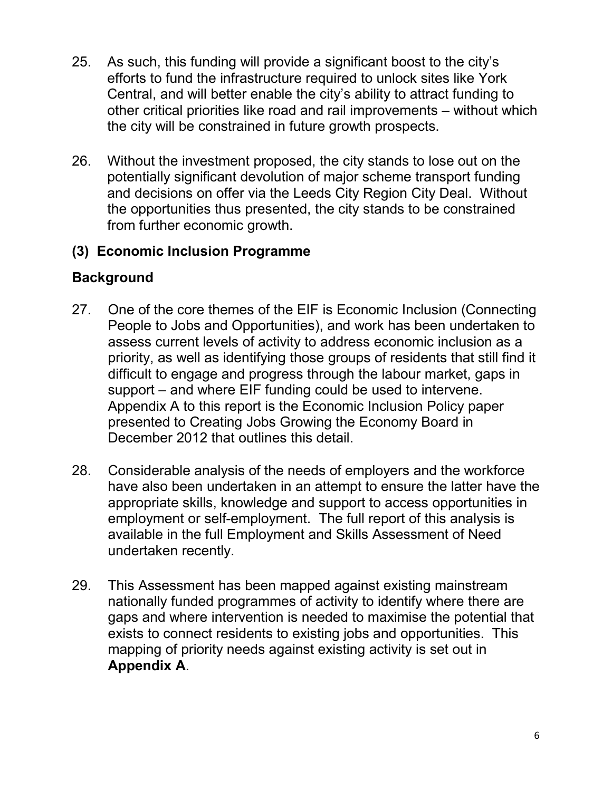- 25. As such, this funding will provide a significant boost to the city's efforts to fund the infrastructure required to unlock sites like York Central, and will better enable the city's ability to attract funding to other critical priorities like road and rail improvements – without which the city will be constrained in future growth prospects.
- 26. Without the investment proposed, the city stands to lose out on the potentially significant devolution of major scheme transport funding and decisions on offer via the Leeds City Region City Deal. Without the opportunities thus presented, the city stands to be constrained from further economic growth.

## **(3) Economic Inclusion Programme**

## **Background**

- 27. One of the core themes of the EIF is Economic Inclusion (Connecting People to Jobs and Opportunities), and work has been undertaken to assess current levels of activity to address economic inclusion as a priority, as well as identifying those groups of residents that still find it difficult to engage and progress through the labour market, gaps in support – and where EIF funding could be used to intervene. Appendix A to this report is the Economic Inclusion Policy paper presented to Creating Jobs Growing the Economy Board in December 2012 that outlines this detail.
- 28. Considerable analysis of the needs of employers and the workforce have also been undertaken in an attempt to ensure the latter have the appropriate skills, knowledge and support to access opportunities in employment or self-employment. The full report of this analysis is available in the full Employment and Skills Assessment of Need undertaken recently.
- 29. This Assessment has been mapped against existing mainstream nationally funded programmes of activity to identify where there are gaps and where intervention is needed to maximise the potential that exists to connect residents to existing jobs and opportunities. This mapping of priority needs against existing activity is set out in **Appendix A**.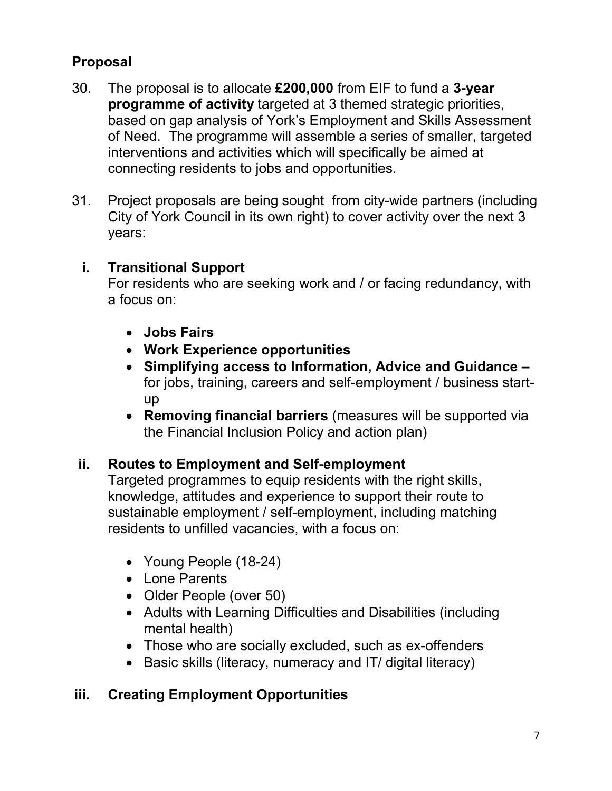# **Proposal**

- 30. The proposal is to allocate **£200,000** from EIF to fund a **3-year programme of activity** targeted at 3 themed strategic priorities, based on gap analysis of York's Employment and Skills Assessment of Need. The programme will assemble a series of smaller, targeted interventions and activities which will specifically be aimed at connecting residents to jobs and opportunities.
- 31. Project proposals are being sought from city-wide partners (including City of York Council in its own right) to cover activity over the next 3 years:

## **i. Transitional Support**

For residents who are seeking work and / or facing redundancy, with a focus on:

- **Jobs Fairs**
- **Work Experience opportunities**
- **Simplifying access to Information, Advice and Guidance**  for jobs, training, careers and self-employment / business startup
- **Removing financial barriers** (measures will be supported via the Financial Inclusion Policy and action plan)

#### **ii. Routes to Employment and Self-employment**

Targeted programmes to equip residents with the right skills, knowledge, attitudes and experience to support their route to sustainable employment / self-employment, including matching residents to unfilled vacancies, with a focus on:

- Young People (18-24)
- Lone Parents
- Older People (over 50)
- Adults with Learning Difficulties and Disabilities (including mental health)
- Those who are socially excluded, such as ex-offenders
- Basic skills (literacy, numeracy and IT/ digital literacy)

## **iii. Creating Employment Opportunities**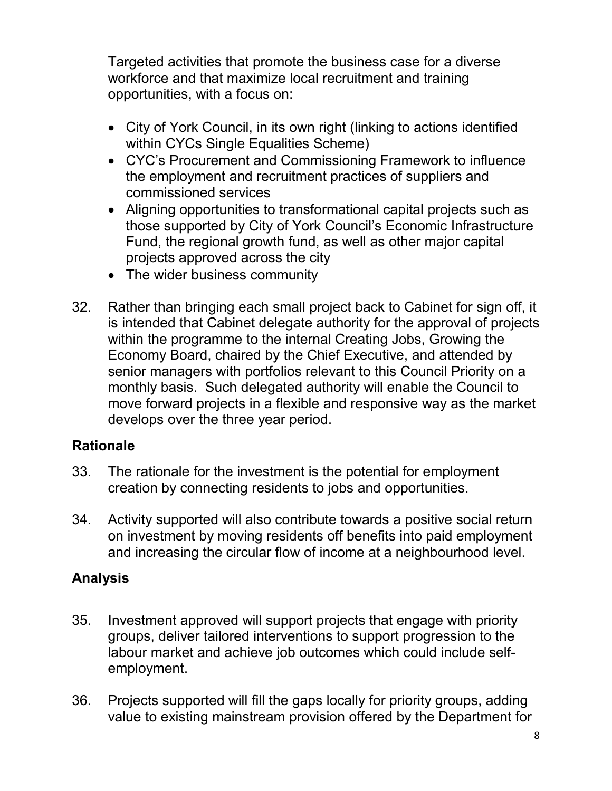Targeted activities that promote the business case for a diverse workforce and that maximize local recruitment and training opportunities, with a focus on:

- City of York Council, in its own right (linking to actions identified within CYCs Single Equalities Scheme)
- CYC's Procurement and Commissioning Framework to influence the employment and recruitment practices of suppliers and commissioned services
- Aligning opportunities to transformational capital projects such as those supported by City of York Council's Economic Infrastructure Fund, the regional growth fund, as well as other major capital projects approved across the city
- The wider business community
- 32. Rather than bringing each small project back to Cabinet for sign off, it is intended that Cabinet delegate authority for the approval of projects within the programme to the internal Creating Jobs, Growing the Economy Board, chaired by the Chief Executive, and attended by senior managers with portfolios relevant to this Council Priority on a monthly basis. Such delegated authority will enable the Council to move forward projects in a flexible and responsive way as the market develops over the three year period.

#### **Rationale**

- 33. The rationale for the investment is the potential for employment creation by connecting residents to jobs and opportunities.
- 34. Activity supported will also contribute towards a positive social return on investment by moving residents off benefits into paid employment and increasing the circular flow of income at a neighbourhood level.

## **Analysis**

- 35. Investment approved will support projects that engage with priority groups, deliver tailored interventions to support progression to the labour market and achieve job outcomes which could include selfemployment.
- 36. Projects supported will fill the gaps locally for priority groups, adding value to existing mainstream provision offered by the Department for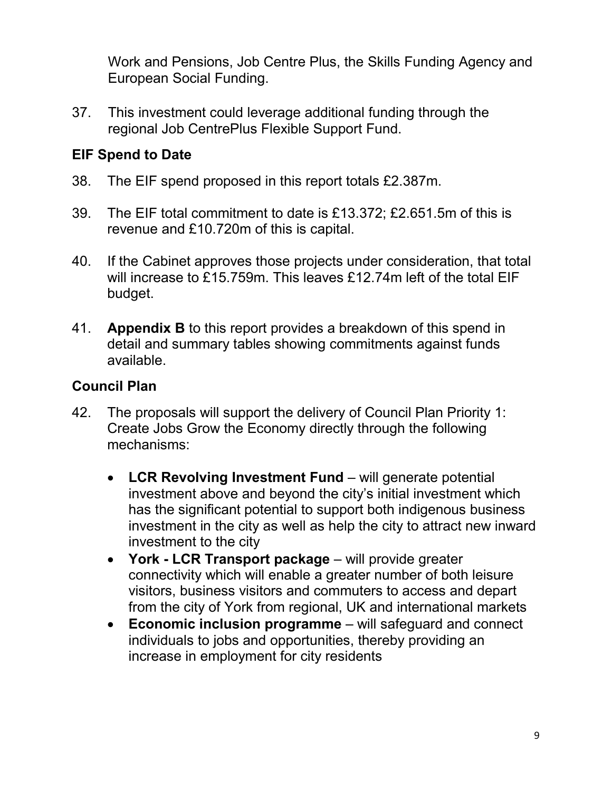Work and Pensions, Job Centre Plus, the Skills Funding Agency and European Social Funding.

37. This investment could leverage additional funding through the regional Job CentrePlus Flexible Support Fund.

## **EIF Spend to Date**

- 38. The EIF spend proposed in this report totals £2.387m.
- 39. The EIF total commitment to date is £13.372; £2.651.5m of this is revenue and £10.720m of this is capital.
- 40. If the Cabinet approves those projects under consideration, that total will increase to £15.759m. This leaves £12.74m left of the total EIF budget.
- 41. **Appendix B** to this report provides a breakdown of this spend in detail and summary tables showing commitments against funds available.

## **Council Plan**

- 42. The proposals will support the delivery of Council Plan Priority 1: Create Jobs Grow the Economy directly through the following mechanisms:
	- **LCR Revolving Investment Fund** will generate potential investment above and beyond the city's initial investment which has the significant potential to support both indigenous business investment in the city as well as help the city to attract new inward investment to the city
	- **York LCR Transport package** will provide greater connectivity which will enable a greater number of both leisure visitors, business visitors and commuters to access and depart from the city of York from regional, UK and international markets
	- **Economic inclusion programme** will safeguard and connect individuals to jobs and opportunities, thereby providing an increase in employment for city residents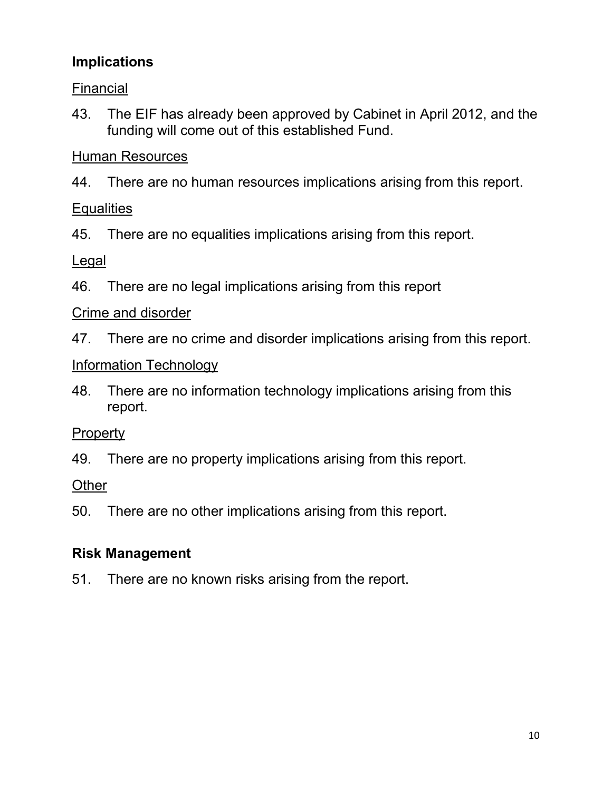# **Implications**

Financial

43. The EIF has already been approved by Cabinet in April 2012, and the funding will come out of this established Fund.

## Human Resources

44. There are no human resources implications arising from this report.

#### **Equalities**

45. There are no equalities implications arising from this report.

Legal

46. There are no legal implications arising from this report

## Crime and disorder

47. There are no crime and disorder implications arising from this report.

## Information Technology

48. There are no information technology implications arising from this report.

## Property

49. There are no property implications arising from this report.

## **Other**

50. There are no other implications arising from this report.

## **Risk Management**

51. There are no known risks arising from the report.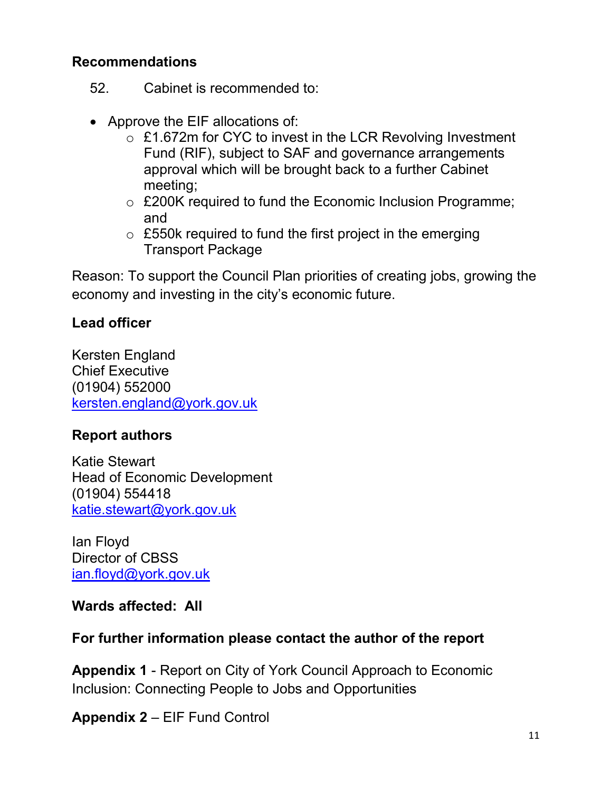#### **Recommendations**

- 52. Cabinet is recommended to:
- Approve the EIF allocations of:
	- o £1.672m for CYC to invest in the LCR Revolving Investment Fund (RIF), subject to SAF and governance arrangements approval which will be brought back to a further Cabinet meeting;
	- o £200K required to fund the Economic Inclusion Programme; and
	- $\circ$  £550k required to fund the first project in the emerging Transport Package

Reason: To support the Council Plan priorities of creating jobs, growing the economy and investing in the city's economic future.

## **Lead officer**

Kersten England Chief Executive (01904) 552000 kersten.england@york.gov.uk

## **Report authors**

Katie Stewart Head of Economic Development (01904) 554418 katie.stewart@york.gov.uk

Ian Floyd Director of CBSS ian.floyd@york.gov.uk

## **Wards affected: All**

## **For further information please contact the author of the report**

**Appendix 1** - Report on City of York Council Approach to Economic Inclusion: Connecting People to Jobs and Opportunities

**Appendix 2** – EIF Fund Control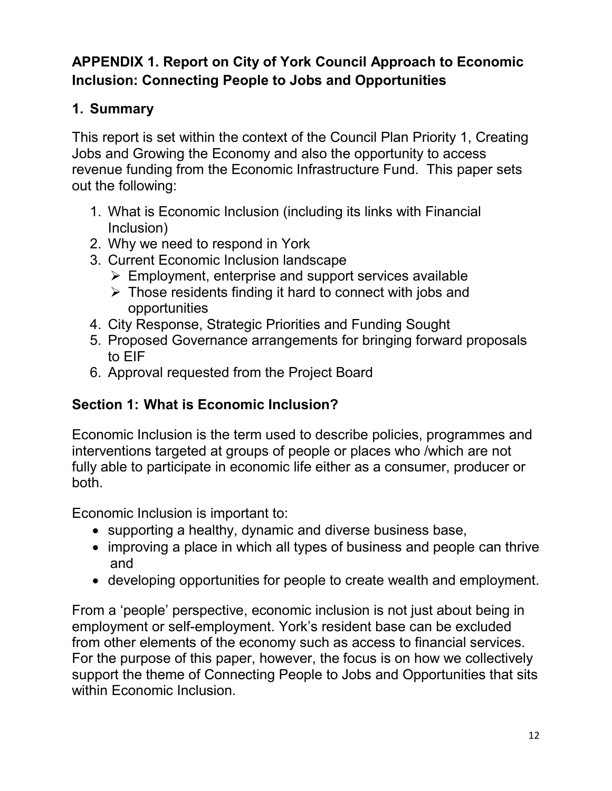# **APPENDIX 1. Report on City of York Council Approach to Economic Inclusion: Connecting People to Jobs and Opportunities**

# **1. Summary**

This report is set within the context of the Council Plan Priority 1, Creating Jobs and Growing the Economy and also the opportunity to access revenue funding from the Economic Infrastructure Fund. This paper sets out the following:

- 1. What is Economic Inclusion (including its links with Financial Inclusion)
- 2. Why we need to respond in York
- 3. Current Economic Inclusion landscape
	- $\triangleright$  Employment, enterprise and support services available
	- $\triangleright$  Those residents finding it hard to connect with jobs and opportunities
- 4. City Response, Strategic Priorities and Funding Sought
- 5. Proposed Governance arrangements for bringing forward proposals to EIF
- 6. Approval requested from the Project Board

# **Section 1: What is Economic Inclusion?**

Economic Inclusion is the term used to describe policies, programmes and interventions targeted at groups of people or places who /which are not fully able to participate in economic life either as a consumer, producer or both.

Economic Inclusion is important to:

- supporting a healthy, dynamic and diverse business base,
- improving a place in which all types of business and people can thrive and
- developing opportunities for people to create wealth and employment.

From a 'people' perspective, economic inclusion is not just about being in employment or self-employment. York's resident base can be excluded from other elements of the economy such as access to financial services. For the purpose of this paper, however, the focus is on how we collectively support the theme of Connecting People to Jobs and Opportunities that sits within Economic Inclusion.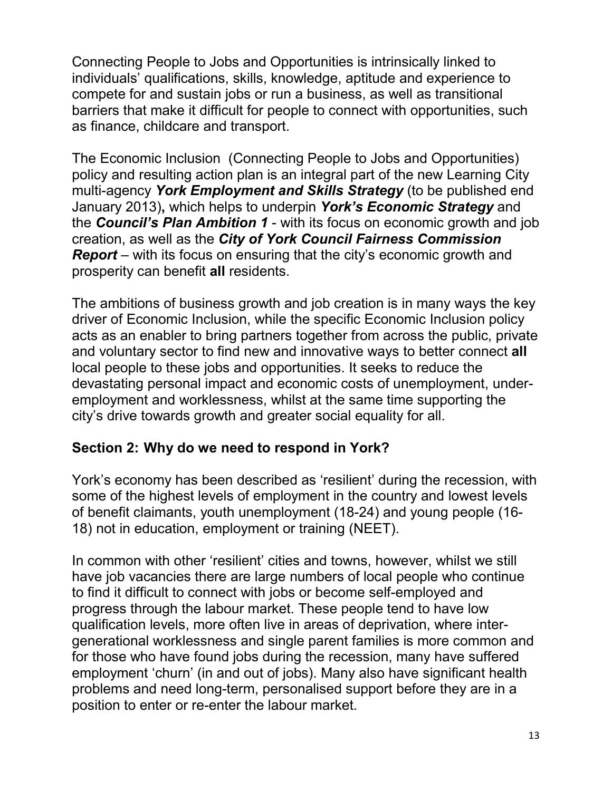Connecting People to Jobs and Opportunities is intrinsically linked to individuals' qualifications, skills, knowledge, aptitude and experience to compete for and sustain jobs or run a business, as well as transitional barriers that make it difficult for people to connect with opportunities, such as finance, childcare and transport.

The Economic Inclusion (Connecting People to Jobs and Opportunities) policy and resulting action plan is an integral part of the new Learning City multi-agency *York Employment and Skills Strategy* (to be published end January 2013)**,** which helps to underpin *York's Economic Strategy* and the *Council's Plan Ambition 1* - with its focus on economic growth and job creation, as well as the *City of York Council Fairness Commission Report* – with its focus on ensuring that the city's economic growth and prosperity can benefit **all** residents.

The ambitions of business growth and job creation is in many ways the key driver of Economic Inclusion, while the specific Economic Inclusion policy acts as an enabler to bring partners together from across the public, private and voluntary sector to find new and innovative ways to better connect **all** local people to these jobs and opportunities. It seeks to reduce the devastating personal impact and economic costs of unemployment, underemployment and worklessness, whilst at the same time supporting the city's drive towards growth and greater social equality for all.

## **Section 2: Why do we need to respond in York?**

York's economy has been described as 'resilient' during the recession, with some of the highest levels of employment in the country and lowest levels of benefit claimants, youth unemployment (18-24) and young people (16- 18) not in education, employment or training (NEET).

In common with other 'resilient' cities and towns, however, whilst we still have job vacancies there are large numbers of local people who continue to find it difficult to connect with jobs or become self-employed and progress through the labour market. These people tend to have low qualification levels, more often live in areas of deprivation, where intergenerational worklessness and single parent families is more common and for those who have found jobs during the recession, many have suffered employment 'churn' (in and out of jobs). Many also have significant health problems and need long-term, personalised support before they are in a position to enter or re-enter the labour market.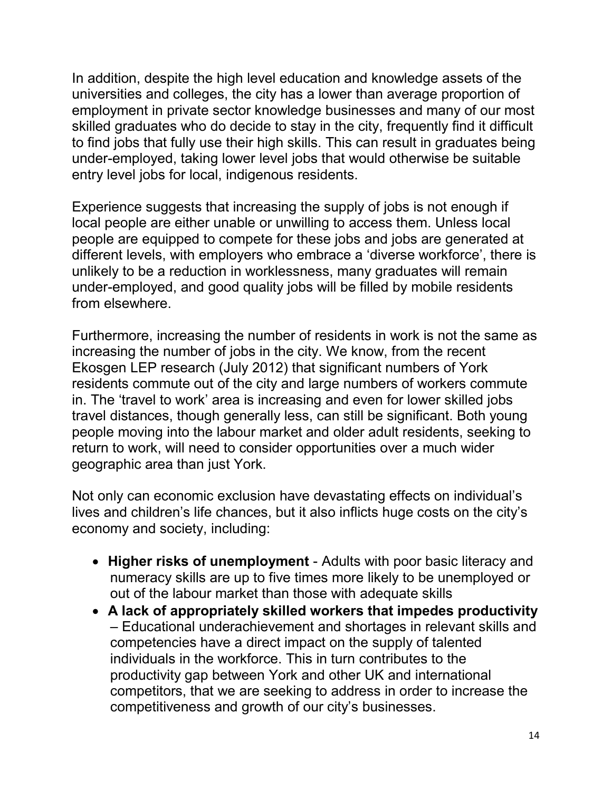In addition, despite the high level education and knowledge assets of the universities and colleges, the city has a lower than average proportion of employment in private sector knowledge businesses and many of our most skilled graduates who do decide to stay in the city, frequently find it difficult to find jobs that fully use their high skills. This can result in graduates being under-employed, taking lower level jobs that would otherwise be suitable entry level jobs for local, indigenous residents.

Experience suggests that increasing the supply of jobs is not enough if local people are either unable or unwilling to access them. Unless local people are equipped to compete for these jobs and jobs are generated at different levels, with employers who embrace a 'diverse workforce', there is unlikely to be a reduction in worklessness, many graduates will remain under-employed, and good quality jobs will be filled by mobile residents from elsewhere.

Furthermore, increasing the number of residents in work is not the same as increasing the number of jobs in the city. We know, from the recent Ekosgen LEP research (July 2012) that significant numbers of York residents commute out of the city and large numbers of workers commute in. The 'travel to work' area is increasing and even for lower skilled jobs travel distances, though generally less, can still be significant. Both young people moving into the labour market and older adult residents, seeking to return to work, will need to consider opportunities over a much wider geographic area than just York.

Not only can economic exclusion have devastating effects on individual's lives and children's life chances, but it also inflicts huge costs on the city's economy and society, including:

- **Higher risks of unemployment**  Adults with poor basic literacy and numeracy skills are up to five times more likely to be unemployed or out of the labour market than those with adequate skills
- **A lack of appropriately skilled workers that impedes productivity**  – Educational underachievement and shortages in relevant skills and competencies have a direct impact on the supply of talented individuals in the workforce. This in turn contributes to the productivity gap between York and other UK and international competitors, that we are seeking to address in order to increase the competitiveness and growth of our city's businesses.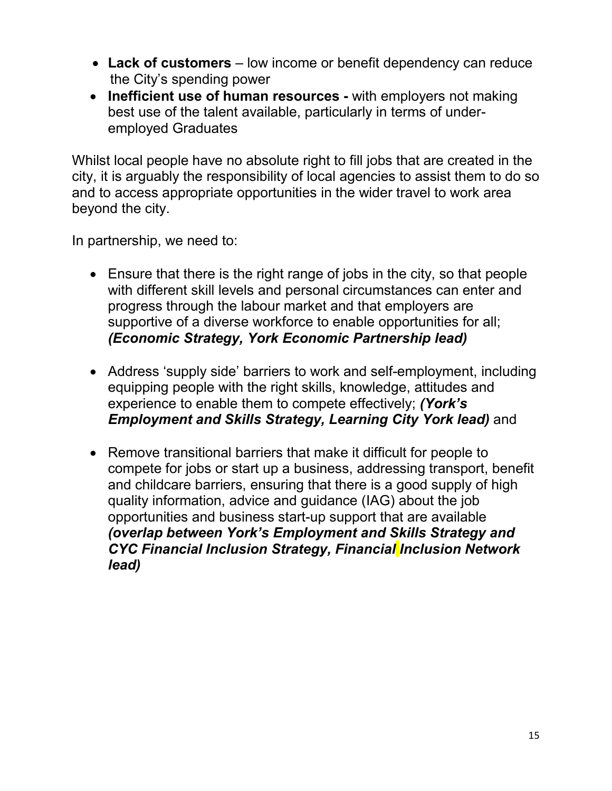- **Lack of customers**  low income or benefit dependency can reduce the City's spending power
- **Inefficient use of human resources** with employers not making best use of the talent available, particularly in terms of underemployed Graduates

Whilst local people have no absolute right to fill jobs that are created in the city, it is arguably the responsibility of local agencies to assist them to do so and to access appropriate opportunities in the wider travel to work area beyond the city.

In partnership, we need to:

- Ensure that there is the right range of jobs in the city, so that people with different skill levels and personal circumstances can enter and progress through the labour market and that employers are supportive of a diverse workforce to enable opportunities for all; *(Economic Strategy, York Economic Partnership lead)*
- Address 'supply side' barriers to work and self-employment, including equipping people with the right skills, knowledge, attitudes and experience to enable them to compete effectively; *(York's Employment and Skills Strategy, Learning City York lead)* and
- Remove transitional barriers that make it difficult for people to compete for jobs or start up a business, addressing transport, benefit and childcare barriers, ensuring that there is a good supply of high quality information, advice and guidance (IAG) about the job opportunities and business start-up support that are available *(overlap between York's Employment and Skills Strategy and CYC Financial Inclusion Strategy, Financial Inclusion Network lead)*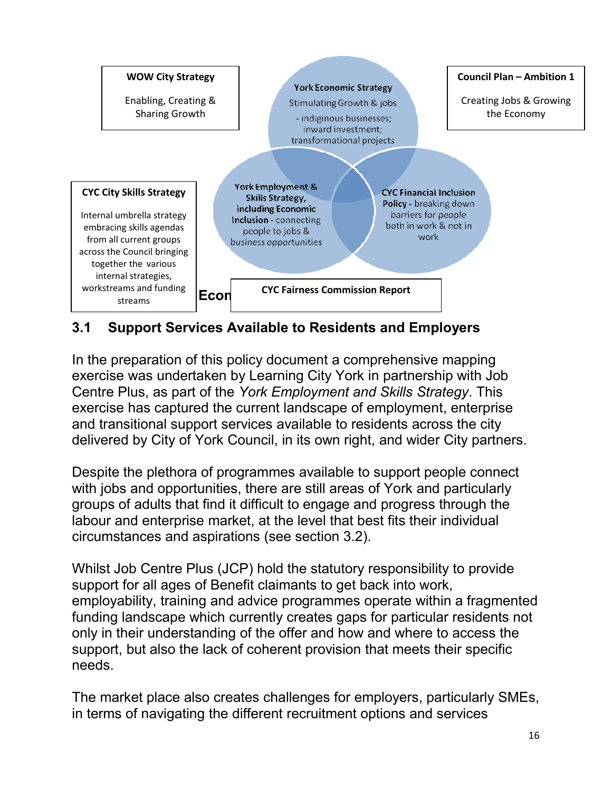

## **3.1 Support Services Available to Residents and Employers**

In the preparation of this policy document a comprehensive mapping exercise was undertaken by Learning City York in partnership with Job Centre Plus, as part of the *York Employment and Skills Strategy*. This exercise has captured the current landscape of employment, enterprise and transitional support services available to residents across the city delivered by City of York Council, in its own right, and wider City partners.

Despite the plethora of programmes available to support people connect with jobs and opportunities, there are still areas of York and particularly groups of adults that find it difficult to engage and progress through the labour and enterprise market, at the level that best fits their individual circumstances and aspirations (see section 3.2).

Whilst Job Centre Plus (JCP) hold the statutory responsibility to provide support for all ages of Benefit claimants to get back into work, employability, training and advice programmes operate within a fragmented funding landscape which currently creates gaps for particular residents not only in their understanding of the offer and how and where to access the support, but also the lack of coherent provision that meets their specific needs.

The market place also creates challenges for employers, particularly SMEs, in terms of navigating the different recruitment options and services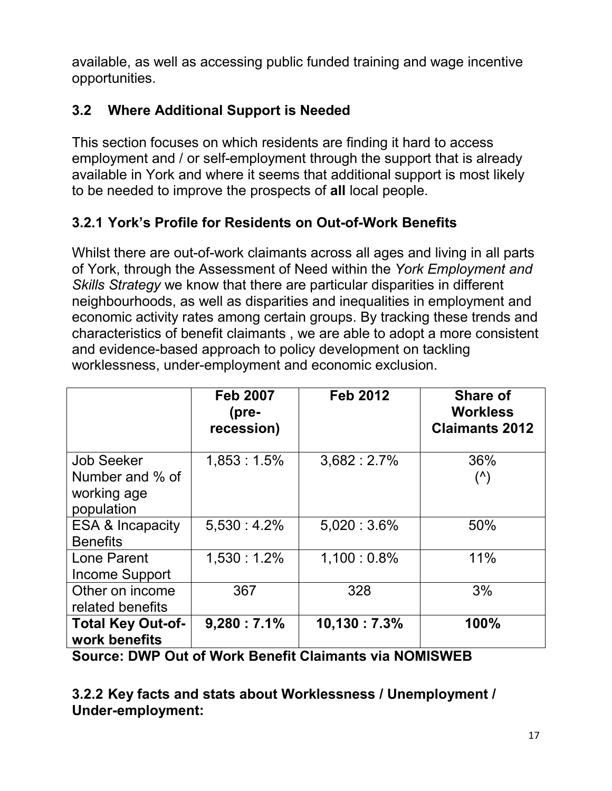available, as well as accessing public funded training and wage incentive opportunities.

# **3.2 Where Additional Support is Needed**

This section focuses on which residents are finding it hard to access employment and / or self-employment through the support that is already available in York and where it seems that additional support is most likely to be needed to improve the prospects of **all** local people.

## **3.2.1 York's Profile for Residents on Out-of-Work Benefits**

Whilst there are out-of-work claimants across all ages and living in all parts of York, through the Assessment of Need within the *York Employment and Skills Strategy* we know that there are particular disparities in different neighbourhoods, as well as disparities and inequalities in employment and economic activity rates among certain groups. By tracking these trends and characteristics of benefit claimants , we are able to adopt a more consistent and evidence-based approach to policy development on tackling worklessness, under-employment and economic exclusion.

|                                                                   | <b>Feb 2007</b><br>(pre-<br>recession) | <b>Feb 2012</b> | <b>Share of</b><br><b>Workless</b><br><b>Claimants 2012</b> |
|-------------------------------------------------------------------|----------------------------------------|-----------------|-------------------------------------------------------------|
| <b>Job Seeker</b><br>Number and % of<br>working age<br>population | $1,853:1.5\%$                          | 3,682:2.7%      | 36%<br>$($ <sup><math>\wedge</math></sup> )                 |
| <b>ESA &amp; Incapacity</b><br><b>Benefits</b>                    | $5.530 : 4.2\%$                        | $5,020:3.6\%$   | 50%                                                         |
| Lone Parent<br>Income Support                                     | $1,530:1.2\%$                          | $1,100:0.8\%$   | 11%                                                         |
| Other on income<br>related benefits                               | 367                                    | 328             | 3%                                                          |
| <b>Total Key Out-of-</b><br>work benefits                         | 9,280:7.1%                             | 10,130:7.3%     | 100%                                                        |

**Source: DWP Out of Work Benefit Claimants via NOMISWEB** 

**3.2.2 Key facts and stats about Worklessness / Unemployment / Under-employment:**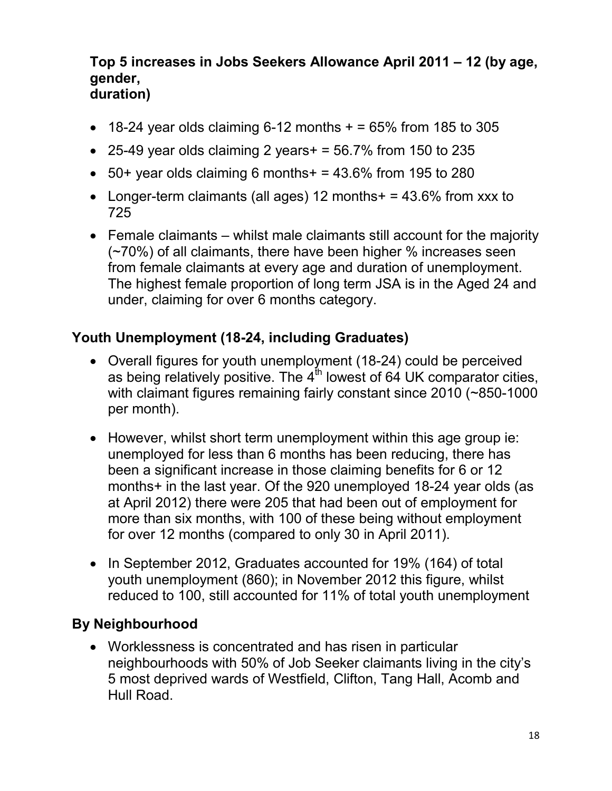#### **Top 5 increases in Jobs Seekers Allowance April 2011 – 12 (by age, gender, duration)**

- $\bullet$  18-24 year olds claiming 6-12 months  $+$  = 65% from 185 to 305
- 25-49 year olds claiming 2 years  $+ = 56.7\%$  from 150 to 235
- $\bullet$  50+ year olds claiming 6 months + = 43.6% from 195 to 280
- Longer-term claimants (all ages) 12 months  $+ = 43.6\%$  from xxx to 725
- Female claimants whilst male claimants still account for the majority (~70%) of all claimants, there have been higher % increases seen from female claimants at every age and duration of unemployment. The highest female proportion of long term JSA is in the Aged 24 and under, claiming for over 6 months category.

## **Youth Unemployment (18-24, including Graduates)**

- Overall figures for youth unemployment (18-24) could be perceived as being relatively positive. The  $4<sup>th</sup>$  lowest of 64 UK comparator cities, with claimant figures remaining fairly constant since 2010 (~850-1000 per month).
- However, whilst short term unemployment within this age group ie: unemployed for less than 6 months has been reducing, there has been a significant increase in those claiming benefits for 6 or 12 months+ in the last year. Of the 920 unemployed 18-24 year olds (as at April 2012) there were 205 that had been out of employment for more than six months, with 100 of these being without employment for over 12 months (compared to only 30 in April 2011).
- In September 2012, Graduates accounted for 19% (164) of total youth unemployment (860); in November 2012 this figure, whilst reduced to 100, still accounted for 11% of total youth unemployment

## **By Neighbourhood**

• Worklessness is concentrated and has risen in particular neighbourhoods with 50% of Job Seeker claimants living in the city's 5 most deprived wards of Westfield, Clifton, Tang Hall, Acomb and Hull Road.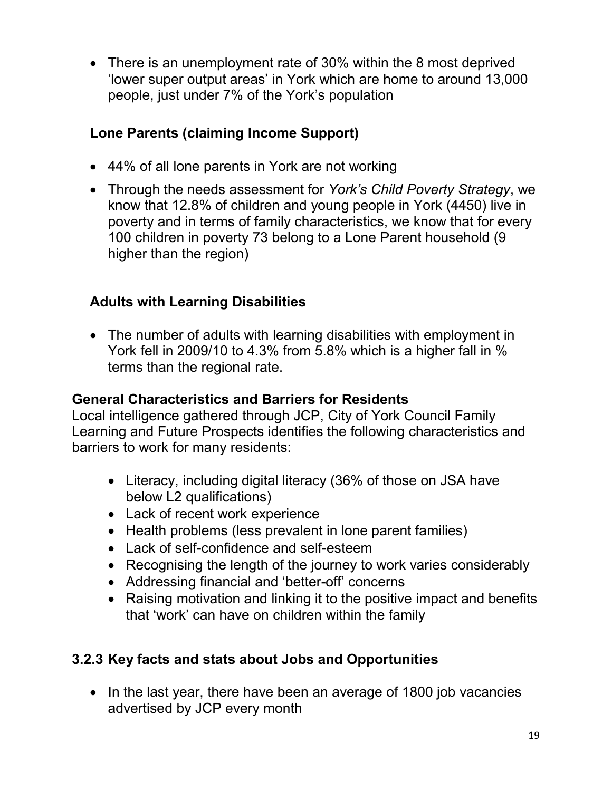• There is an unemployment rate of 30% within the 8 most deprived 'lower super output areas' in York which are home to around 13,000 people, just under 7% of the York's population

## **Lone Parents (claiming Income Support)**

- 44% of all lone parents in York are not working
- Through the needs assessment for *York's Child Poverty Strategy*, we know that 12.8% of children and young people in York (4450) live in poverty and in terms of family characteristics, we know that for every 100 children in poverty 73 belong to a Lone Parent household (9 higher than the region)

## **Adults with Learning Disabilities**

• The number of adults with learning disabilities with employment in York fell in 2009/10 to 4.3% from 5.8% which is a higher fall in % terms than the regional rate.

#### **General Characteristics and Barriers for Residents**

Local intelligence gathered through JCP, City of York Council Family Learning and Future Prospects identifies the following characteristics and barriers to work for many residents:

- Literacy, including digital literacy (36% of those on JSA have below L2 qualifications)
- Lack of recent work experience
- Health problems (less prevalent in lone parent families)
- Lack of self-confidence and self-esteem
- Recognising the length of the journey to work varies considerably
- Addressing financial and 'better-off' concerns
- Raising motivation and linking it to the positive impact and benefits that 'work' can have on children within the family

## **3.2.3 Key facts and stats about Jobs and Opportunities**

• In the last year, there have been an average of 1800 job vacancies advertised by JCP every month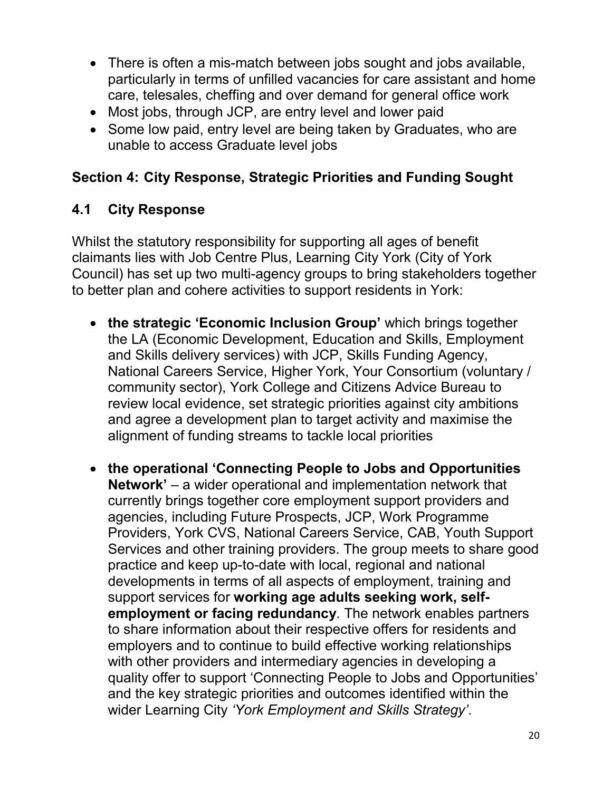- There is often a mis-match between jobs sought and jobs available, particularly in terms of unfilled vacancies for care assistant and home care, telesales, cheffing and over demand for general office work
- Most jobs, through JCP, are entry level and lower paid
- Some low paid, entry level are being taken by Graduates, who are unable to access Graduate level jobs

## **Section 4: City Response, Strategic Priorities and Funding Sought**

## **4.1 City Response**

Whilst the statutory responsibility for supporting all ages of benefit claimants lies with Job Centre Plus, Learning City York (City of York Council) has set up two multi-agency groups to bring stakeholders together to better plan and cohere activities to support residents in York:

- the strategic 'Economic Inclusion Group' which brings together the LA (Economic Development, Education and Skills, Employment and Skills delivery services) with JCP, Skills Funding Agency, National Careers Service, Higher York, Your Consortium (voluntary / community sector), York College and Citizens Advice Bureau to review local evidence, set strategic priorities against city ambitions and agree a development plan to target activity and maximise the alignment of funding streams to tackle local priorities
- **the operational 'Connecting People to Jobs and Opportunities Network'** – a wider operational and implementation network that currently brings together core employment support providers and agencies, including Future Prospects, JCP, Work Programme Providers, York CVS, National Careers Service, CAB, Youth Support Services and other training providers. The group meets to share good practice and keep up-to-date with local, regional and national developments in terms of all aspects of employment, training and support services for **working age adults seeking work, selfemployment or facing redundancy**. The network enables partners to share information about their respective offers for residents and employers and to continue to build effective working relationships with other providers and intermediary agencies in developing a quality offer to support 'Connecting People to Jobs and Opportunities' and the key strategic priorities and outcomes identified within the wider Learning City *'York Employment and Skills Strategy'*.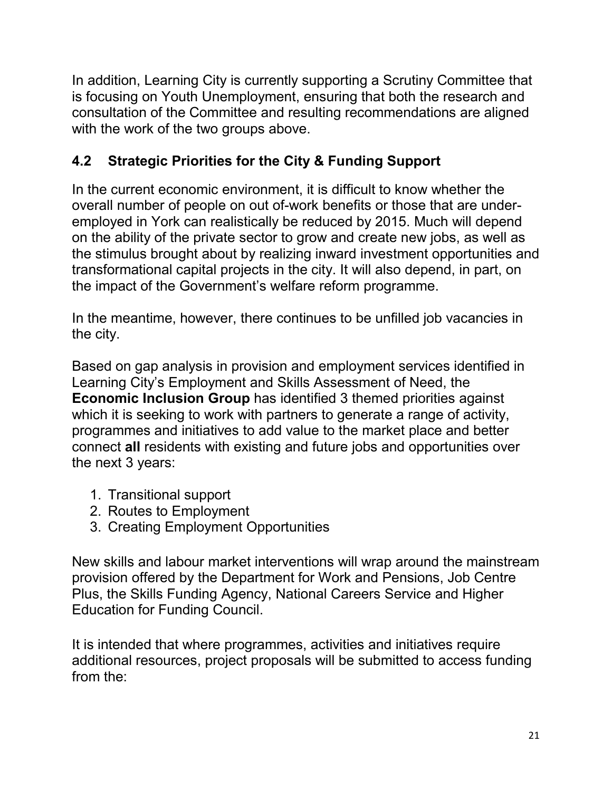In addition, Learning City is currently supporting a Scrutiny Committee that is focusing on Youth Unemployment, ensuring that both the research and consultation of the Committee and resulting recommendations are aligned with the work of the two groups above.

# **4.2 Strategic Priorities for the City & Funding Support**

In the current economic environment, it is difficult to know whether the overall number of people on out of-work benefits or those that are underemployed in York can realistically be reduced by 2015. Much will depend on the ability of the private sector to grow and create new jobs, as well as the stimulus brought about by realizing inward investment opportunities and transformational capital projects in the city. It will also depend, in part, on the impact of the Government's welfare reform programme.

In the meantime, however, there continues to be unfilled job vacancies in the city.

Based on gap analysis in provision and employment services identified in Learning City's Employment and Skills Assessment of Need, the **Economic Inclusion Group** has identified 3 themed priorities against which it is seeking to work with partners to generate a range of activity, programmes and initiatives to add value to the market place and better connect **all** residents with existing and future jobs and opportunities over the next 3 years:

- 1. Transitional support
- 2. Routes to Employment
- 3. Creating Employment Opportunities

New skills and labour market interventions will wrap around the mainstream provision offered by the Department for Work and Pensions, Job Centre Plus, the Skills Funding Agency, National Careers Service and Higher Education for Funding Council.

It is intended that where programmes, activities and initiatives require additional resources, project proposals will be submitted to access funding from the: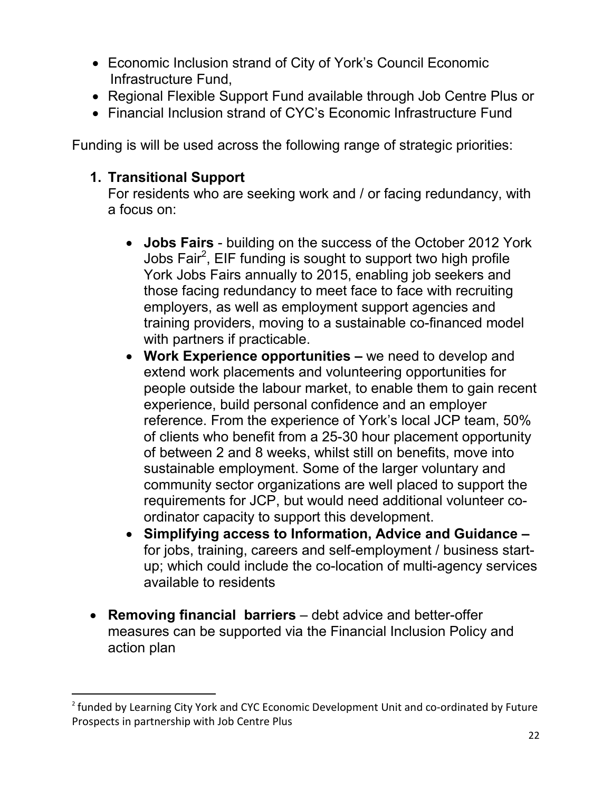- Economic Inclusion strand of City of York's Council Economic Infrastructure Fund,
- Regional Flexible Support Fund available through Job Centre Plus or
- Financial Inclusion strand of CYC's Economic Infrastructure Fund

Funding is will be used across the following range of strategic priorities:

## **1. Transitional Support**

 $\overline{a}$ 

For residents who are seeking work and / or facing redundancy, with a focus on:

- **Jobs Fairs** building on the success of the October 2012 York Jobs Fair<sup>2</sup>, EIF funding is sought to support two high profile York Jobs Fairs annually to 2015, enabling job seekers and those facing redundancy to meet face to face with recruiting employers, as well as employment support agencies and training providers, moving to a sustainable co-financed model with partners if practicable.
- **Work Experience opportunities** we need to develop and extend work placements and volunteering opportunities for people outside the labour market, to enable them to gain recent experience, build personal confidence and an employer reference. From the experience of York's local JCP team, 50% of clients who benefit from a 25-30 hour placement opportunity of between 2 and 8 weeks, whilst still on benefits, move into sustainable employment. Some of the larger voluntary and community sector organizations are well placed to support the requirements for JCP, but would need additional volunteer coordinator capacity to support this development.
- **Simplifying access to Information, Advice and Guidance**  for jobs, training, careers and self-employment / business startup; which could include the co-location of multi-agency services available to residents
- **Removing financial barriers**  debt advice and better-offer measures can be supported via the Financial Inclusion Policy and action plan

<sup>&</sup>lt;sup>2</sup> funded by Learning City York and CYC Economic Development Unit and co-ordinated by Future Prospects in partnership with Job Centre Plus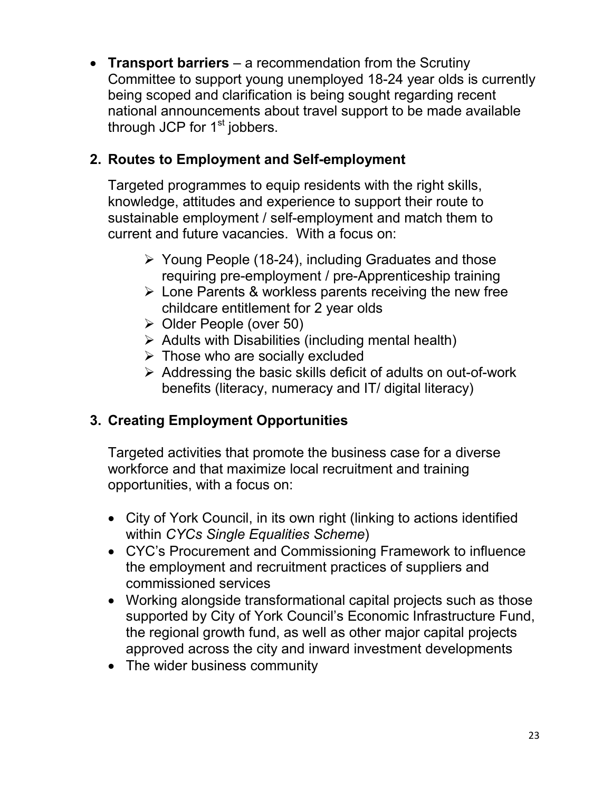• **Transport barriers** – a recommendation from the Scrutiny Committee to support young unemployed 18-24 year olds is currently being scoped and clarification is being sought regarding recent national announcements about travel support to be made available through JCP for  $1<sup>st</sup>$  jobbers.

## **2. Routes to Employment and Self-employment**

Targeted programmes to equip residents with the right skills, knowledge, attitudes and experience to support their route to sustainable employment / self-employment and match them to current and future vacancies. With a focus on:

- $\triangleright$  Young People (18-24), including Graduates and those requiring pre-employment / pre-Apprenticeship training
- $\triangleright$  Lone Parents & workless parents receiving the new free childcare entitlement for 2 year olds
- $\triangleright$  Older People (over 50)
- $\triangleright$  Adults with Disabilities (including mental health)
- $\triangleright$  Those who are socially excluded
- $\triangleright$  Addressing the basic skills deficit of adults on out-of-work benefits (literacy, numeracy and IT/ digital literacy)

# **3. Creating Employment Opportunities**

Targeted activities that promote the business case for a diverse workforce and that maximize local recruitment and training opportunities, with a focus on:

- City of York Council, in its own right (linking to actions identified within *CYCs Single Equalities Scheme*)
- CYC's Procurement and Commissioning Framework to influence the employment and recruitment practices of suppliers and commissioned services
- Working alongside transformational capital projects such as those supported by City of York Council's Economic Infrastructure Fund, the regional growth fund, as well as other major capital projects approved across the city and inward investment developments
- The wider business community